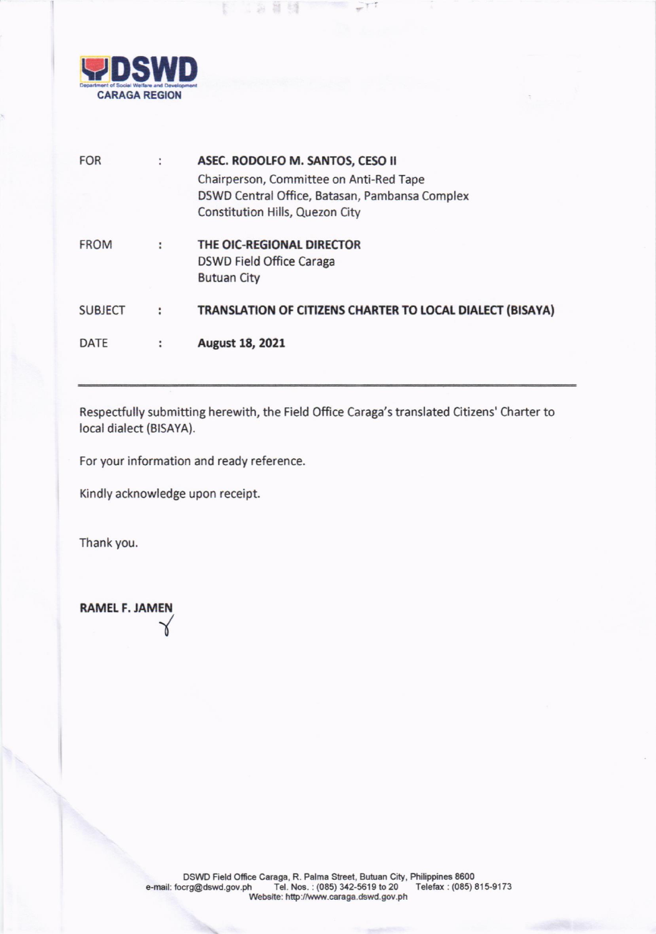

**Beach** 

1985

| <b>FOR</b>     | ٠              | ASEC. RODOLFO M. SANTOS, CESO II                          |
|----------------|----------------|-----------------------------------------------------------|
|                |                | Chairperson, Committee on Anti-Red Tape                   |
|                |                | DSWD Central Office, Batasan, Pambansa Complex            |
|                |                | Constitution Hills, Quezon City                           |
| <b>FROM</b>    | ÷              | THE OIC-REGIONAL DIRECTOR                                 |
|                |                | DSWD Field Office Caraga                                  |
|                |                | <b>Butuan City</b>                                        |
| <b>SUBJECT</b> | $\ddot{\cdot}$ | TRANSLATION OF CITIZENS CHARTER TO LOCAL DIALECT (BISAYA) |
|                |                |                                                           |
| DATE           |                | August 18, 2021                                           |
|                |                |                                                           |

Respectfully submitting herewith, the Field Office Caraga's translated Citizens' Charter to local dialect (BISAYA).

For your information and ready reference.

Kindly acknowledge upon receipt.

Thank you.

RAMEL F. JAMEN l,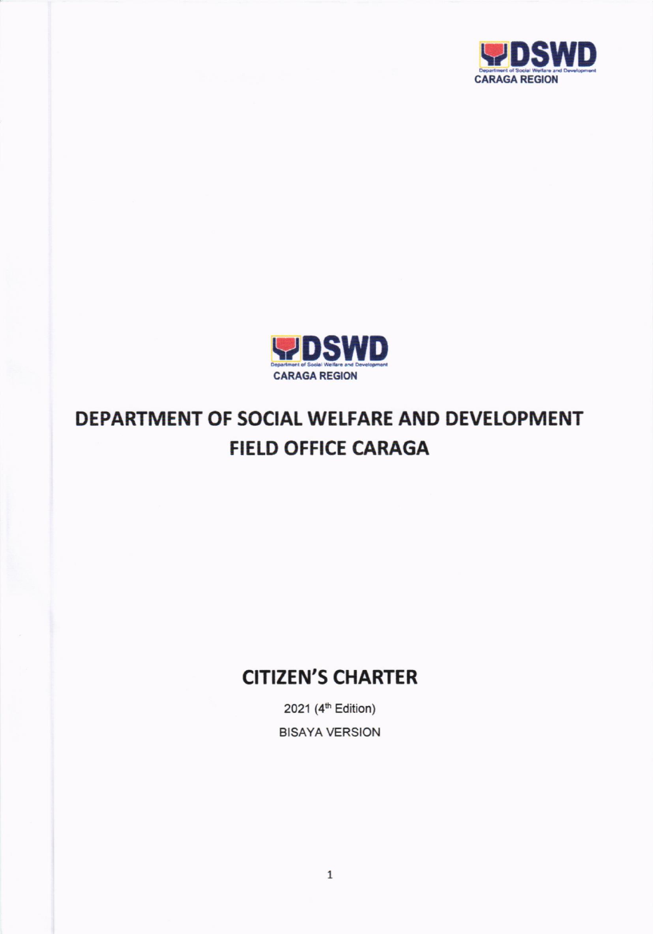



# DEPARTMENT OF SOCIAL WELFARE AND DEVELOPMENT **FIELD OFFICE CARAGA**

## **CITIZEN'S CHARTER**

2021 (4h Edition) BISAYA VERSION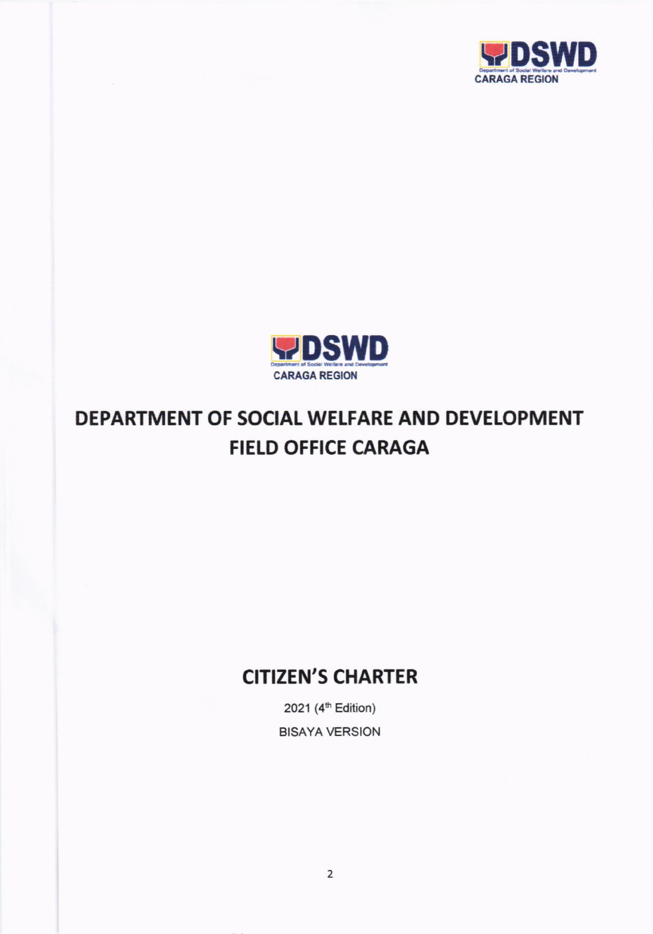



# DEPARTMENT OF SOCIAL WELFARE AND DEVELOPMENT FIELD OFFICE CARAGA

## **CITIZEN'S CHARTER**

2021 (4<sup>th</sup> Edition) BISAYA VERSION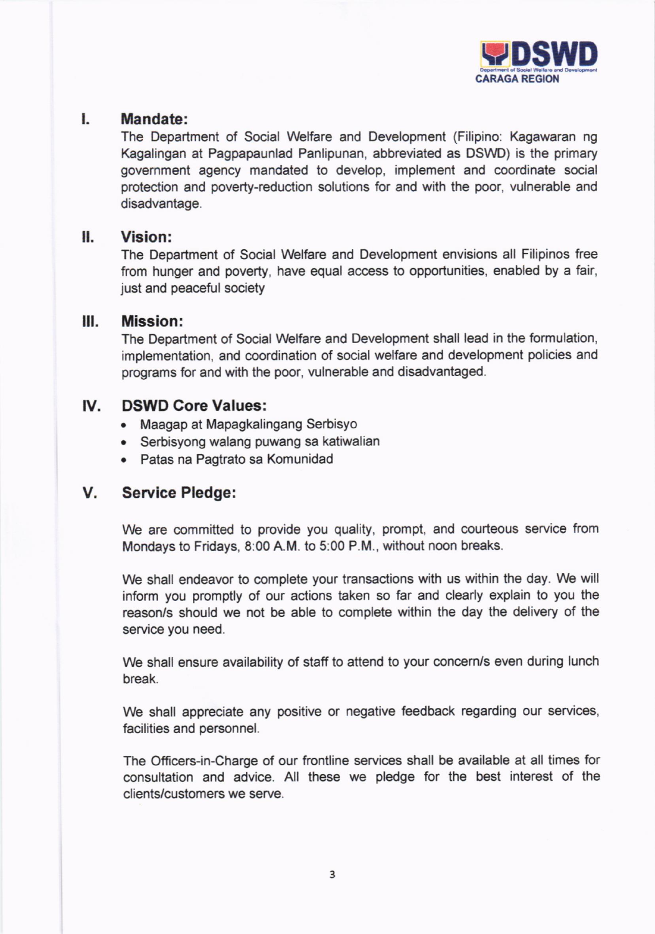

#### l. Mandate:

The Department of Social Welfare and Development (Filipino: Kagawaran ng Kagalingan at Pagpapaunlad Panlipunan, abbreviated as DSWD) is the primary government agency mandated to develop, implement and coordinate social protection and poverty-reduction solutions for and with the poor, vulnerable and disadvantage.

### II. Vision:

The Department of Social Welfare and Development envisions all Filipinos free from hunger and poverty, have equal access to opportunities, enabled by a fair, just and peaceful society

#### lll. Mission:

The Department of Social Welfare and Development shall lead in the formulation, implementation, and coordination of social welfare and development policies and programs for and with the poor, vulnerable and disadvantaged.

### lV. DSWD Core Values:

- . Maagap at Mapagkalingang Serbisyo
- . Serbisyong walang puwang sa katiwalian
- Patas na Pagtrato sa Komunidad

### V. Seryice Pledge:

We are committed to provide you quality, prompt, and courteous service from Mondays to Fridays, 8:00 A.M. to 5:00 P.M., without noon breaks.

We shall endeavor to complete your transactions with us within the day. We will inform you promptly of our actions taken so far and clearly explain to you the reason/s should we not be able to complete within the day the delivery of the service you need.

We shall ensure availability of staff to attend to your concern/s even during lunch break.

We shall appreciate any positive or negative feedback regarding our services, facilities and personnel.

The Officers-in-Charge of our frontline services shall be available at all times for consultation and advice. All these we pledge for the best interest of the clients/customers we serye.